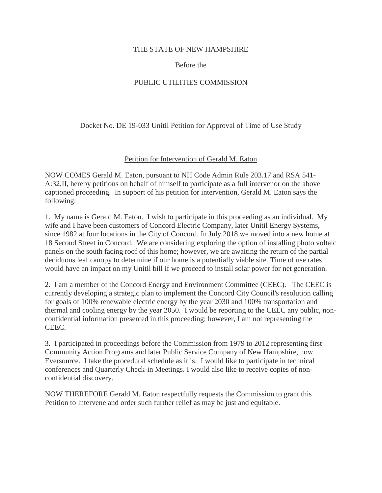### THE STATE OF NEW HAMPSHIRE

## Before the

# PUBLIC UTILITIES COMMISSION

Docket No. DE 19-033 Unitil Petition for Approval of Time of Use Study

## Petition for Intervention of Gerald M. Eaton

NOW COMES Gerald M. Eaton, pursuant to NH Code Admin Rule 203.17 and RSA 541- A:32,II, hereby petitions on behalf of himself to participate as a full intervenor on the above captioned proceeding. In support of his petition for intervention, Gerald M. Eaton says the following:

1. My name is Gerald M. Eaton. I wish to participate in this proceeding as an individual. My wife and I have been customers of Concord Electric Company, later Unitil Energy Systems, since 1982 at four locations in the City of Concord. In July 2018 we moved into a new home at 18 Second Street in Concord. We are considering exploring the option of installing photo voltaic panels on the south facing roof of this home; however, we are awaiting the return of the partial deciduous leaf canopy to determine if our home is a potentially viable site. Time of use rates would have an impact on my Unitil bill if we proceed to install solar power for net generation.

2. I am a member of the Concord Energy and Environment Committee (CEEC). The CEEC is currently developing a strategic plan to implement the Concord City Council's resolution calling for goals of 100% renewable electric energy by the year 2030 and 100% transportation and thermal and cooling energy by the year 2050. I would be reporting to the CEEC any public, nonconfidential information presented in this proceeding; however, I am not representing the CEEC.

3. I participated in proceedings before the Commission from 1979 to 2012 representing first Community Action Programs and later Public Service Company of New Hampshire, now Eversource. I take the procedural schedule as it is. I would like to participate in technical conferences and Quarterly Check-in Meetings. I would also like to receive copies of nonconfidential discovery.

NOW THEREFORE Gerald M. Eaton respectfully requests the Commission to grant this Petition to Intervene and order such further relief as may be just and equitable.